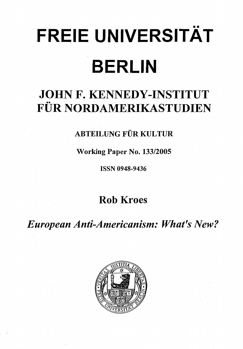# **FREIE UNIVERSITÄT BERLIN**

## **JOHN F. KENNEDY-INSTITUT** FÜR NORDAMERIKASTUDIEN

## **ABTEILUNG FÜR KULTUR**

Working Paper No. 133/2005

**ISSN 0948-9436** 

## **Rob Kroes**

**European Anti-Americanism: What's New?** 

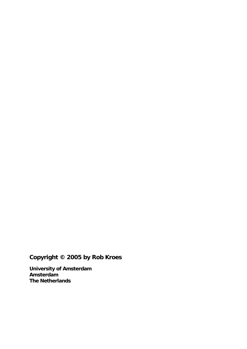### **Copyright © 2005 by Rob Kroes**

**University of Amsterdam Amsterdam The Netherlands**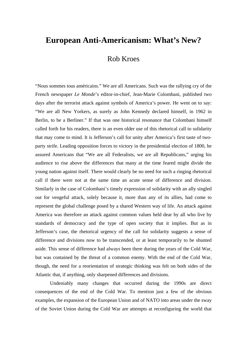#### **European Anti-Americanism: What's New?**

#### Rob Kroes

"Nous sommes tous américains." We are all Americans. Such was the rallying cry of the French newspaper *Le Monde*'s editor-in-chief, Jean-Marie Colombani, published two days after the terrorist attack against symbols of America's power. He went on to say: "We are all New Yorkers, as surely as John Kennedy declared himself, in 1962 in Berlin, to be a Berliner." If that was one historical resonance that Colombani himself called forth for his readers, there is an even older use of this rhetorical call to solidarity that may come to mind. It is Jefferson's call for unity after America's first taste of twoparty strife. Leading opposition forces to victory in the presidential election of 1800, he assured Americans that "We are all Federalists, we are all Republicans," urging his audience to rise above the differences that many at the time feared might divide the young nation against itself. There would clearly be no need for such a ringing rhetorical call if there were not at the same time an acute sense of difference and division. Similarly in the case of Colombani's timely expression of solidarity with an ally singled out for vengeful attack, solely because it, more than any of its allies, had come to represent the global challenge posed by a shared Western way of life. An attack against America was therefore an attack against common values held dear by all who live by standards of democracy and the type of open society that it implies. But as in Jefferson's case, the rhetorical urgency of the call for solidarity suggests a sense of difference and divisions now to be transcended, or at least temporarily to be shunted aside. This sense of difference had always been there during the years of the Cold War, but was contained by the threat of a common enemy. With the end of the Cold War, though, the need for a reorientation of strategic thinking was felt on both sides of the Atlantic that, if anything, only sharpened differences and divisions.

Undeniably many changes that occurred during the 1990s are direct consequences of the end of the Cold War. To mention just a few of the obvious examples, the expansion of the European Union and of NATO into areas under the sway of the Soviet Union during the Cold War are attempts at reconfiguring the world that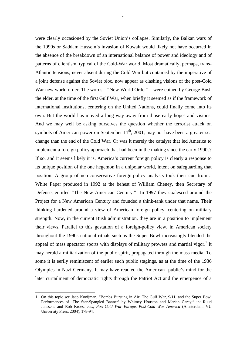were clearly occasioned by the Soviet Union's collapse. Similarly, the Balkan wars of the 1990s or Saddam Hussein's invasion of Kuwait would likely not have occurred in the absence of the breakdown of an international balance of power and ideology and of patterns of clientism, typical of the Cold-War world. Most dramatically, perhaps, trans-Atlantic tensions, never absent during the Cold War but contained by the imperative of a joint defense against the Soviet bloc, now appear as clashing visions of the post-Cold War new world order. The words—"New World Order"—were coined by George Bush the elder, at the time of the first Gulf War, when briefly it seemed as if the framework of international institutions, centering on the United Nations, could finally come into its own. But the world has moved a long way away from those early hopes and visions. And we may well be asking ourselves the question whether the terrorist attack on symbols of American power on September  $11<sup>th</sup>$ , 2001, may not have been a greater sea change than the end of the Cold War. Or was it merely the catalyst that led America to implement a foreign policy approach that had been in the making since the early 1990s? If so, and it seems likely it is, America's current foreign policy is clearly a response to its unique position of the one hegemon in a unipolar world, intent on safeguarding that position. A group of neo-conservative foreign-policy analysts took their cue from a White Paper produced in 1992 at the behest of William Cheney, then Secretary of Defense, entitled "The New American Century." In 1997 they coalesced around the Project for a New American Century and founded a think-tank under that name. Their thinking hardened around a view of American foreign policy, centering on military strength. Now, in the current Bush administration, they are in a position to implement their views. Parallel to this gestation of a foreign-policy view, in American society throughout the 1990s national rituals such as the Super Bowl increasingly blended the appeal of mass spectator sports with displays of military prowess and martial vigor.<sup>1</sup> It may herald a militarization of the public spirit, propagated through the mass media. To some it is eerily reminiscent of earlier such public stagings, as at the time of the 1936 Olympics in Nazi Germany. It may have readied the American public's mind for the later curtailment of democratic rights through the Patriot Act and the emergence of a

<u>.</u>

<sup>1</sup> On this topic see Jaap Kooijman, "Bombs Bursting in Air: The Gulf War, 9/11, and the Super Bowl Performances of 'The Star-Spangled Banner' by Whitney Houston and Mariah Carey," in: Ruud Janssens and Rob Kroes, eds., *Post-Cold War Europe, Post-Cold War America* (Amsterdam: VU University Press, 2004), 178-94.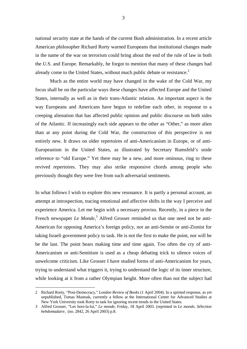national security state at the hands of the current Bush administration. In a recent article American philosopher Richard Rorty warned Europeans that institutional changes made in the name of the war on terrorism could bring about the end of the rule of law in both the U.S. and Europe. Remarkably, he forgot to mention that many of these changes had already come to the United States, without much public debate or resistance.<sup>2</sup>

 Much as the entire world may have changed in the wake of the Cold War, my focus shall be on the particular ways these changes have affected Europe and the United States, internally as well as in their trans-Atlantic relation. An important aspect is the way Europeans and Americans have begun to redefine each other, in response to a creeping alienation that has affected public opinion and public discourse on both sides of the Atlantic. If increasingly each side appears to the other as "Other," as more alien than at any point during the Cold War, the construction of this perspective is not entirely new. It draws on older repertoires of anti-Americanism in Europe, or of anti-Europeanism in the United States, as illustrated by Secretary Rumsfeld's snide reference to "old Europe." Yet there may be a new, and more ominous, ring to these revived repertoires. They may also strike responsive chords among people who previously thought they were free from such adversarial sentiments.

In what follows I wish to explore this new resonance. It is partly a personal account, an attempt at introspection, tracing emotional and affective shifts in the way I perceive and experience America. Let me begin with a necessary proviso. Recently, in a piece in the French newspaper *Le Monde*,<sup>3</sup> Alfred Grosser reminded us that one need not be anti-American for opposing America's foreign policy, nor an anti-Semite or anti-Zionist for taking Israeli government policy to task. He is not the first to make the point, nor will he be the last. The point bears making time and time again. Too often the cry of anti-Americanism or anti-Semitism is used as a cheap debating trick to silence voices of unwelcome criticism. Like Grosser I have studied forms of anti-Americanism for years, trying to understand what triggers it, trying to understand the logic of its inner structure, while looking at it from a rather Olympian height. More often than not the subject had

<sup>2</sup> Richard Rorty, "Post-Democracy," *London Review of Books* (1 April 2004). In a spirited response, as yet unpublished, Tomas Mastnak, currently a fellow at the International Center for Advanced Studies at New York University took Rorty to task for ignoring recent trends in the United States.

<sup>3</sup> Alfred Grosser, "Les hors-la-loi," *Le monde,* Friday, 18 April 2003. (reprinted in *Le monde, Sélection hebdomadaire,* (no. 2842, 26 April 2003) p.8.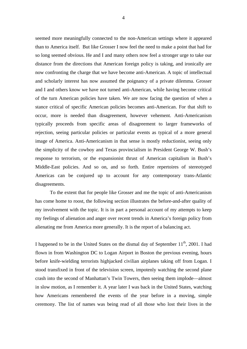seemed more meaningfully connected to the non-American settings where it appeared than to America itself. But like Grosser I now feel the need to make a point that had for so long seemed obvious. He and I and many others now feel a stronger urge to take our distance from the directions that American foreign policy is taking, and ironically are now confronting the charge that we have become anti-American. A topic of intellectual and scholarly interest has now assumed the poignancy of a private dilemma. Grosser and I and others know we have not turned anti-American, while having become critical of the turn American policies have taken. We are now facing the question of when a stance critical of specific American policies becomes anti-American. For that shift to occur, more is needed than disagreement, however vehement. Anti-Americanism typically proceeds from specific areas of disagreement to larger frameworks of rejection, seeing particular policies or particular events as typical of a more general image of America. Anti-Americanism in that sense is mostly reductionist, seeing only the simplicity of the cowboy and Texas provincialism in President George W. Bush's response to terrorism, or the expansionist thrust of American capitalism in Bush's Middle-East policies. And so on, and so forth. Entire repertoires of stereotyped Americas can be conjured up to account for any contemporary trans-Atlantic disagreements.

 To the extent that for people like Grosser and me the topic of anti-Americanism has come home to roost, the following section illustrates the before-and-after quality of my involvement with the topic. It is in part a personal account of my attempts to keep my feelings of alienation and anger over recent trends in America's foreign policy from alienating me from America more generally. It is the report of a balancing act.

I happened to be in the United States on the dismal day of September  $11<sup>th</sup>$ , 2001. I had flown in from Washington DC to Logan Airport in Boston the previous evening, hours before knife-wielding terrorists highjacked civilian airplanes taking off from Logan. I stood transfixed in front of the television screen, impotenly watching the second plane crash into the second of Manhattan's Twin Towers, then seeing them implode—almost in slow motion, as I remember it. A year later I was back in the United States, watching how Americans remembered the events of the year before in a moving, simple ceremony. The list of names was being read of all those who lost their lives in the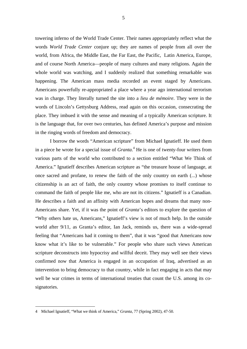towering inferno of the World Trade Center. Their names appropriately reflect what the words *World Trade Center* conjure up; they are names of people from all over the world, from Africa, the Middle East, the Far East, the Pacific, Latin America, Europe, and of course North America—people of many cultures and many religions. Again the whole world was watching, and I suddenly realized that something remarkable was happening. The American mass media recorded an event staged by Americans. Americans powerfully re-appropriated a place where a year ago international terrorism was in charge. They literally turned the site into a *lieu de mémoire*. They were in the words of Lincoln's Gettysburg Address, read again on this occasion, consecrating the place. They imbued it with the sense and meaning of a typically American scripture. It is the language that, for over two centuries, has defined America's purpose and mission in the ringing words of freedom and democracy.

 I borrow the words "American scripture" from Michael Ignatieff. He used them in a piece he wrote for a special issue of *Granta*.<sup>4</sup> He is one of twenty-four writers from various parts of the world who contributed to a section entitled "What We Think of America." Ignatieff describes American scripture as "the treasure house of language, at once sacred and profane, to renew the faith of the only country on earth (...) whose citizenship is an act of faith, the only country whose promises to itself continue to command the faith of people like me, who are not its citizens." Ignatieff is a Canadian. He describes a faith and an affinity with American hopes and dreams that many non-Americans share. Yet, if it was the point of *Granta*'s editors to explore the question of "Why others hate us, Americans," Ignatieff's view is not of much help. In the outside world after 9/11, as Granta's editor, Ian Jack, reminds us, there was a wide-spread feeling that "Americans had it coming to them", that it was "good that Americans now know what it's like to be vulnerable." For people who share such views American scripture deconstructs into hypocrisy and willful deceit. They may well see their views confirmed now that America is engaged in an occupation of Iraq, advertised as an intervention to bring democracy to that country, while in fact engaging in acts that may well be war crimes in terms of international treaties that count the U.S. among its cosignatories.

<u>.</u>

<sup>4</sup> Michael Ignatieff, "What we think of America," *Granta*, 77 (Spring 2002), 47-50.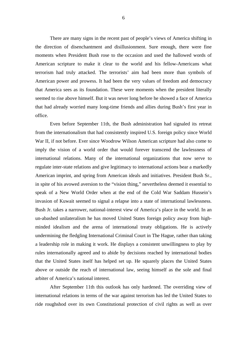There are many signs in the recent past of people's views of America shifting in the direction of disenchantment and disillusionment. Sure enough, there were fine moments when President Bush rose to the occasion and used the hallowed words of American scripture to make it clear to the world and his fellow-Americans what terrorism had truly attacked. The terrorists' aim had been more than symbols of American power and prowess. It had been the very values of freedom and democracy that America sees as its foundation. These were moments when the president literally seemed to rise above himself. But it was never long before he showed a face of America that had already worried many long-time friends and allies during Bush's first year in office.

 Even before September 11th, the Bush administration had signaled its retreat from the internationalism that had consistently inspired U.S. foreign policy since World War II, if not before. Ever since Woodrow Wilson American scripture had also come to imply the vision of a world order that would forever transcend the lawlessness of international relations. Many of the international organizations that now serve to regulate inter-state relations and give legitimacy to international actions bear a markedly American imprint, and spring from American ideals and initiatives. President Bush Sr., in spite of his avowed aversion to the "vision thing," nevertheless deemed it essential to speak of a New World Order when at the end of the Cold War Saddam Hussein's invasion of Kuwait seemed to signal a relapse into a state of international lawlessness. Bush Jr. takes a narrower, national-interest view of America's place in the world. In an un-abashed unilateralism he has moved United States foreign policy away from highminded idealism and the arena of international treaty obligations. He is actively undermining the fledgling International Criminal Court in The Hague, rather than taking a leadership role in making it work. He displays a consistent unwillingness to play by rules internationally agreed and to abide by decisions reached by international bodies that the United States itself has helped set up. He squarely places the United States above or outside the reach of international law, seeing himself as the sole and final arbiter of America's national interest.

 After September 11th this outlook has only hardened. The overriding view of international relations in terms of the war against terrorism has led the United States to ride roughshod over its own Constitutional protection of civil rights as well as over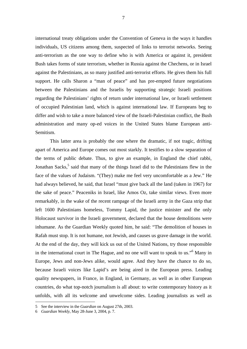international treaty obligations under the Convention of Geneva in the ways it handles individuals, US citizens among them, suspected of links to terrorist networks. Seeing anti-terrorism as the one way to define who is with America or against it, president Bush takes forms of state terrorism, whether in Russia against the Chechens, or in Israel against the Palestinians, as so many justified anti-terrorist efforts. He gives them his full support. He calls Sharon a "man of peace" and has pre-empted future negotiations between the Palestinians and the Israelis by supporting strategic Israeli positions regarding the Palestinians' rights of return under international law, or Israeli settlement of occupied Palestinian land, which is against international law. If Europeans beg to differ and wish to take a more balanced view of the Israeli-Palestinian conflict, the Bush administration and many op-ed voices in the United States blame European anti-Semitism.

 This latter area is probably the one where the dramatic, if not tragic, drifting apart of America and Europe comes out most starkly. It testifies to a slow separation of the terms of public debate. Thus, to give an example, in England the chief rabbi, Jonathan Sacks,<sup>5</sup> said that many of the things Israel did to the Palestinians flew in the face of the values of Judaism. "(They) make me feel very uncomfortable as a Jew." He had always believed, he said, that Israel "must give back all the land (taken in 1967) for the sake of peace." Peaceniks in Israel, like Amos Oz, take similar views. Even more remarkably, in the wake of the recent rampage of the Israeli army in the Gaza strip that left 1600 Palestinians homeless, Tommy Lapid, the justice minister and the only Holocaust survivor in the Israeli government, declared that the house demolitions were inhumane. As the Guardian Weekly quoted him, he said: "The demolition of houses in Rafah must stop. It is not humane, not Jewish, and causes us grave damage in the world. At the end of the day, they will kick us out of the United Nations, try those responsible in the international court in The Hague, and no one will want to speak to us."<sup>6</sup> Many in Europe, Jews and non-Jews alike, would agree. And they have the chance to do so, because Israeli voices like Lapid's are being aired in the European press. Leading quality newspapers, in France, in England, in Germany, as well as in other European countries, do what top-notch journalism is all about: to write contemporary history as it unfolds, with all its welcome and unwelcome sides. Leading journalists as well as

<sup>5</sup> See the interview in the *Guardian* on August 27th, 2003.

<sup>6</sup> *Guardian Weekly*, May 28-June 3, 2004, p. 7.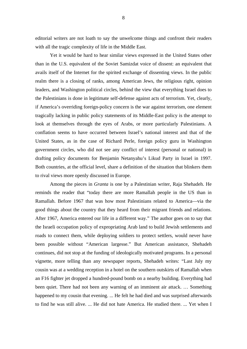editorial writers are not loath to say the unwelcome things and confront their readers with all the tragic complexity of life in the Middle East.

Yet it would be hard to hear similar views expressed in the United States other than in the U.S. equivalent of the Soviet Samizdat voice of dissent: an equivalent that avails itself of the Internet for the spirited exchange of dissenting views. In the public realm there is a closing of ranks, among American Jews, the religious right, opinion leaders, and Washington political circles, behind the view that everything Israel does to the Palestinians is done in legitimate self-defense against acts of terrorism. Yet, clearly, if America's overriding foreign-policy concern is the war against terrorism, one element tragically lacking in public policy statements of its Middle-East policy is the attempt to look at themselves through the eyes of Arabs, or more particularly Palestinians. A conflation seems to have occurred between Israel's national interest and that of the United States, as in the case of Richard Perle, foreign policy guru in Washington government circles, who did not see any conflict of interest (personal or national) in drafting policy documents for Benjamin Netanyahu's Likud Party in Israel in 1997. Both countries, at the official level, share a definition of the situation that blinkers them to rival views more openly discussed in Europe.

 Among the pieces in *Granta* is one by a Palestinian writer, Raja Shehadeh. He reminds the reader that "today there are more Ramallah people in the US than in Ramallah. Before 1967 that was how most Palestinians related to America—via the good things about the country that they heard from their migrant friends and relations. After 1967, America entered our life in a different way." The author goes on to say that the Israeli occupation policy of expropriating Arab land to build Jewish settlements and roads to connect them, while deploying soldiers to protect settlers, would never have been possible without "American largesse." But American assistance, Shehadeh continues, did not stop at the funding of ideologically motivated programs. In a personal vignette, more telling than any newspaper reports, Shehadeh writes: "Last July my cousin was at a wedding reception in a hotel on the southern outskirts of Ramallah when an F16 fighter jet dropped a hundred-pound bomb on a nearby building. Everything had been quiet. There had not been any warning of an imminent air attack. … Something happened to my cousin that evening. ... He felt he had died and was surprised afterwards to find he was still alive. ... He did not hate America. He studied there. ... Yet when I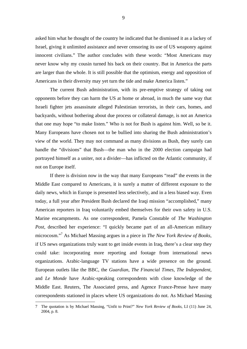asked him what he thought of the country he indicated that he dismissed it as a lackey of Israel, giving it unlimited assistance and never censoring its use of US weaponry against innocent civilians." The author concludes with these words: "Most Americans may never know why my cousin turned his back on their country. But in America the parts are larger than the whole. It is still possible that the optimism, energy and opposition of Americans in their diversity may yet turn the tide and make America listen."

 The current Bush administration, with its pre-emptive strategy of taking out opponents before they can harm the US at home or abroad, in much the same way that Israeli fighter jets assassinate alleged Palestinian terrorists, in their cars, homes, and backyards, without bothering about due process or collateral damage, is not an America that one may hope "to make listen." Who is not for Bush is against him. Well, so be it. Many Europeans have chosen not to be bullied into sharing the Bush administration's view of the world. They may not command as many divisions as Bush, they surely can handle the "divisions" that Bush—the man who in the 2000 election campaign had portrayed himself as a uniter, not a divider—has inflicted on the Atlantic community, if not on Europe itself.

 If there is division now in the way that many Europeans "read" the events in the Middle East compared to Americans, it is surely a matter of different exposure to the daily news, which in Europe is presented less selectively, and in a less biased way. Even today, a full year after President Bush declared the Iraqi mission "accomplished," many American reporters in Iraq voluntarily embed themselves for their own safety in U.S. Marine encampments. As one correspondent, Pamela Constable of *The Washington Post*, described her experience: "I quickly became part of an all-American military microcosm."<sup>7</sup> As Michael Massing argues in a piece in *The New York Review of Books*, if US news organizations truly want to get inside events in Iraq, there's a clear step they could take: incorporating more reporting and footage from international news organizations. Arabic-language TV stations have a wide presence on the ground. European outlets like the BBC, the *Guardian*, *The Financial Times*, *The Independent*, and *Le Monde* have Arabic-speaking correspondents with close knowledge of the Middle East. Reuters, The Associated press, and Agence France-Presse have many correspondents stationed in places where US organizations do not. As Michael Massing

<sup>7</sup> The quotation is by Michael Massing, "Unfit to Print?" *New York Review of Books*, LI (11) June 24, 2004, p. 8.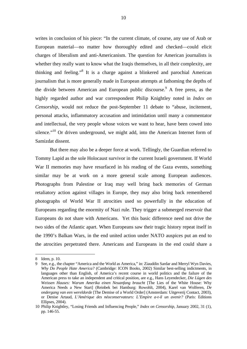writes in conclusion of his piece: "In the current climate, of course, any use of Arab or European material—no matter how thoroughly edited and checked—could elicit charges of liberalism and anti-Americanism. The question for American journalists is whether they really want to know what the Iraqis themselves, in all their complexity, are thinking and feeling."<sup>8</sup> It is a charge against a blinkered and parochial American journalism that is more generally made in European attempts at fathoming the depths of the divide between American and European public discourse.  $9$  A free press, as the highly regarded author and war correspondent Philip Knightley noted in *Index on Censorship*, would not reduce the post-September 11 debate to "abuse, incitement, personal attacks, inflammatory accusation and intimidation until many a commentator and intellectual, the very people whose voices we want to hear, have been cowed into silence."<sup>10</sup> Or driven underground, we might add, into the American Internet form of Samizdat dissent.

But there may also be a deeper force at work. Tellingly, the Guardian referred to Tommy Lapid as the sole Holocaust survivor in the current Israeli government. If World War II memories may have resurfaced in his reading of the Gaza events, something similar may be at work on a more general scale among European audiences. Photographs from Palestine or Iraq may well bring back memories of German retaliatory action against villages in Europe, they may also bring back remembered photographs of World War II atrocities used so powerfully in the education of Europeans regarding the enormity of Nazi rule. They trigger a submerged reservoir that Europeans do not share with Americans. Yet this basic difference need not drive the two sides of the Atlantic apart. When Europeans saw their tragic history repeat itself in the 1990's Balkan Wars, in the end united action under NATO auspices put an end to the atrocities perpetrated there. Americans and Europeans in the end could share a

<sup>8</sup> Idem, p. 10.

<sup>9</sup> See, e.g., the chapter "America and the World as America," in: Ziauddin Sardar and Merryl Wyn Davies, *Why Do People Hate America?* (Cambridge: ICON Books, 2002) Similar best-selling indictments, in languages other than English, of America's recent course in world politics and the failure of the American press to take an independent and critical position, are e.g., Hans Leyendecker, *Die Lügen des Weissen Hauses: Warum Amerika einen Neuanfang braucht* [The Lies of the White House: Why America Needs a New Start] (Reinbek bei Hamburg: Rowohlt, 2004), Karel van Wolferen, *De ondergang van een wereldorde* [The Demise of a World Order] (Amsterdam: Uitgeverij Contact, 2003), or Denise Artaud, *L'Amérique des néoconservateurs: L'Empire a-t-il un avenir?* (Paris: Editions Ellipses, 2004).

<sup>10</sup> Philip Knightley, "Losing Friends and Influencing People," *Index on Censorship*, January 2002, 31 (1), pp. 146-55.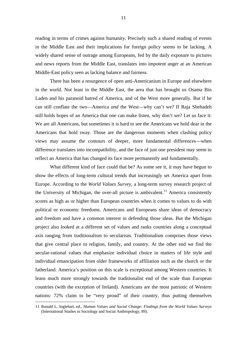reading in terms of crimes against humanity. Precisely such a shared reading of events in the Middle East and their implications for foreign policy seems to be lacking. A widely shared sense of outrage among Europeans, fed by the daily exposure to pictures and news reports from the Middle East, translates into impotent anger at an American Middle-East policy seen as lacking balance and fairness.

 There has been a resurgence of open anti-Americanism in Europe and elsewhere in the world. Not least in the Middle East, the area that has brought us Osama Bin Laden and his paranoid hatred of America, and of the West more generally. But if he can still conflate the two—America *and* the West—why can't we? If Raja Shehadeh still holds hopes of an America that one can make listen, why don't we? Let us face it: We are all Americans, but sometimes it is hard to see the Americans we hold dear in the Americans that hold sway. Those are the dangerous moments when clashing policy views may assume the contours of deeper, more fundamental differences—when difference translates into incompatibility, and the face of just one president may seem to reflect an America that has changed its face more permanently and fundamentally.

What different kind of face could that be? As some see it, it may have begun to show the effects of long-term cultural trends that increasingly set America apart from Europe. According to the *World Values Survey*, a long-term survey research project of the University of Michigan, the over-all picture is ambivalent.<sup>11</sup> America consistently scores as high as or higher than European countries when it comes to values to do with political or economic freedoms. Americans and Europeans share ideas of democracy and freedom and have a common interest in defending those ideas. But the Michigan project also looked at a different set of values and ranks countries along a conceptual axis ranging from traditionalism to secularism. Traditionalism comprises those views that give central place to religion, family, and country. At the other end we find the secular-rational values that emphasize individual choice in matters of life style and individual emancipation from older frameworks of affiliation such as the church or the fatherland. America's position on this scale is exceptional among Western countries. It leans much more strongly towards the traditionalist end of the scale than European countries (with the exception of Ireland). Americans are the most patriotic of Western nations: 72% claim to be "very proud" of their country, thus putting themselves

<sup>11</sup> Ronald L. Inglehart, ed., *Human Values and Social Change: Findings from the World Values Surveys* (International Studies in Sociology and Social Anthropology, 89).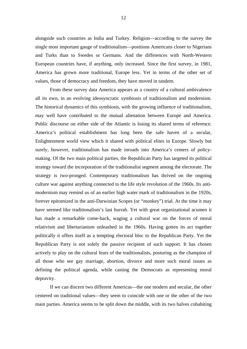alongside such countries as India and Turkey. Religion—according to the survey the single most important gauge of traditionalism—positions Americans closer to Nigerians and Turks than to Swedes or Germans. And the differences with North-Western European countries have, if anything, only increased. Since the first survey, in 1981, America has grown more traditional, Europe less. Yet in terms of the other set of values, those of democracy and freedom, they have moved in tandem.

 From these survey data America appears as a country of a cultural ambivalence all its own, in an evolving ideosyncratic symbiosis of traditionalism and modernism. The historical dynamics of this symbiosis, with the growing influence of traditionalism, may well have contributed to the mutual alienation between Europe and America. Public discourse on either side of the Atlantic is losing its shared terms of reference. America's political establishment has long been the safe haven of a secular, Enlightenment world view which it shared with political elites in Europe. Slowly but surely, however, traditionalism has made inroads into America's centers of policymaking. Of the two main political parties, the Republican Party has targeted its political strategy toward the incorporation of the traditionalist segment among the electorate. The strategy is two-pronged. Contemporary traditionalism has thrived on the ongoing culture war against anything connected to the life style revolution of the 1960s. Its antimodernism may remind us of an earlier high water mark of traditionalism in the 1920s, forever epitomized in the anti-Darwinian Scopes (or "monkey") trial. At the time it may have seemed like traditionalism's last hurrah. Yet with great organizational acumen it has made a remarkable come-back, waging a cultural war on the forces of moral relativism and libertarianism unleashed in the 1960s. Having gotten its act together politically it offers itself as a tempting electoral bloc to the Republican Party. Yet the Republican Party is not solely the passive recipient of such support. It has chosen actively to play on the cultural fears of the traditionalists, posturing as the champion of all those who see gay marriage, abortion, divorce and more such moral issues as defining the political agenda, while casting the Democrats as representing moral depravity.

If we can discern two different Americas—the one modern and secular, the other centered on traditional values—they seem to coincide with one or the other of the two main parties. America seems to be split down the middle, with its two halves cohabiting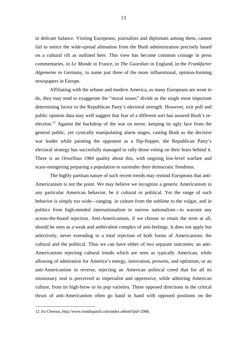in delicate balance. Visiting Europeans, journalists and diplomats among them, cannot fail to notice the wide-spread alienation from the Bush administration precisely based on a cultural rift as outlined here. This view has become common coinage in press commentaries, in *Le Monde* in France, in *The Guardian* in England, in the *Frankfurter Algemeine* in Germany, to name just three of the more influentional, opinion-forming newspapers in Europe.

Affiliating with the urbane and modern America, as many Europeans are wont to do, they may tend to exaggerate the "moral issues" divide as the single most important determining factor in the Republican Party's electoral strength. However, exit poll and public opinion data may well suggest that fear of a different sort has assured Bush's reelection.<sup>12</sup> Against the backdrop of the war on terror, keeping its ugly face from the general public, yet cynically manipulating alarm stages, casting Bush as the decisive war leader while painting the opponent as a flip-flopper, the Republican Party's electoral strategy has succesfully managed to rally those voting on their fears behind it. There is an Orwellian *1984* quality about this, with ongoing low-level warfare and scare-mongering preparing a population to surrender their democratic freedoms.

The highly partisan nature of such recent trends may remind Europeans that anti-Americanism is not the point. We may believe we recognize a generic Americanism in any particular American behavior, be it cultural or political. Yet the range of such behavior is simply too wide—ranging in culture from the sublime to the vulgar, and in politics from high-minded internationalism to narrow nationalism—to warrant any across-the-board rejection. Anti-Americanism, if we choose to retain the term at all, should be seen as a weak and ambivalent complex of anti-feelings. It does not apply but selectively, never extending to a total rejection of both forms of Americanism: the cultural and the political. Thus we can have either of two separate outcomes; an anti-Americanism rejecting cultural trends which are seen as typically American, while allowing of admiration for America's energy, innovation, prowess, and optimism, or an anti-Americanism in reverse, rejecting an American political creed that for all its missionary zeal is perceived as imperialist and oppressive, while admiring American culture, from its high-brow to its pop varieties. These opposed directions in the critical thrust of anti-Americanism often go hand in hand with opposed positions on the

<u>.</u>

<sup>12</sup> Ira Chernus, http://www.tomdispatch.com/index.mhtml?pid=2068\_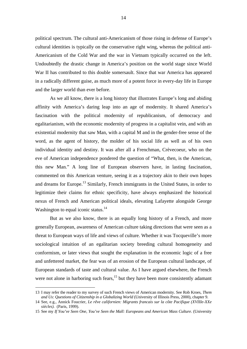political spectrum. The cultural anti-Americanism of those rising in defense of Europe's cultural identities is typically on the conservative right wing, whereas the political anti-Americanism of the Cold War and the war in Vietnam typically occurred on the left. Undoubtedly the drastic change in America's position on the world stage since World War II has contributed to this double somersault. Since that war America has appeared in a radically different guise, as much more of a potent force in every-day life in Europe and the larger world than ever before.

As we all know, there is a long history that illustrates Europe's long and abiding affinity with America's daring leap into an age of modernity. It shared America's fascination with the political modernity of republicanism, of democracy and egalitarianism, with the economic modernity of progress in a capitalist vein, and with an existential modernity that saw Man, with a capital M and in the gender-free sense of the word, as the agent of history, the molder of his social life as well as of his own individual identity and destiny. It was after all a Frenchman, Crèvecoeur, who on the eve of American independence pondered the question of "What, then, is the American, this new Man." A long line of European observers have, in lasting fascination, commented on this American venture, seeing it as a trajectory akin to their own hopes and dreams for Europe.<sup>13</sup> Similarly, French immigrants in the United States, in order to legitimize their claims for ethnic specificity, have always emphasized the historical nexus of French and American political ideals, elevating Lafayette alongside George Washington to equal iconic status.<sup>14</sup>

 But as we also know, there is an equally long history of a French, and more generally European, awareness of American culture taking directions that were seen as a threat to European ways of life and views of culture. Whether it was Tocqueville's more sociological intuition of an egalitarian society breeding cultural homogeneity and conformism, or later views that sought the explanation in the economic logic of a free and unfettered market, the fear was of an erosion of the European cultural landscape, of European standards of taste and cultural value. As I have argued elsewhere, the French were not alone in harboring such fears,<sup>15</sup> but they have been more consistently adamant

<sup>13</sup> I may refer the reader to my survey of such French views of American modernity. See Rob Kroes, *Them and Us: Questions of Citizenship in a Globalizing World* (University of Illinois Press, 2000), chapter 9.

<sup>14</sup> See, e.g., Annick Foucrier, *Le rêve californien: Migrants francais sur la côte Pacifique (XVIIIe-XXe siècles).* (Paris, 1999).

<sup>15</sup> See my *If You've Seen One, You've Seen the Mall: Europeans and American Mass Culture*. (University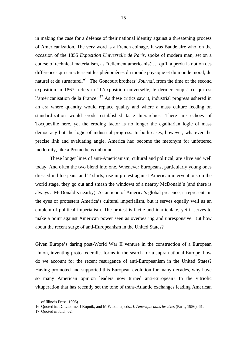in making the case for a defense of their national identity against a threatening process of Americanization. The very word is a French coinage. It was Baudelaire who, on the occasion of the 1855 *Exposition Universelle de Paris*, spoke of modern man, set on a course of technical materialism, as "tellement américanisé … qu'il a perdu la notion des différences qui caractérisent les phénomènes du monde physique et du monde moral, du naturel et du surnaturel."16 The Goncourt brothers' *Journal*, from the time of the second exposition in 1867, refers to "L'exposition universelle, le dernier coup à ce qui est l'américanisation de la France."<sup>17</sup> As these critics saw it, industrial progress ushered in an era where quantity would replace quality and where a mass culture feeding on standardization would erode established taste hierarchies. There are echoes of Tocqueville here, yet the eroding factor is no longer the egalitarian logic of mass democracy but the logic of industrial progress. In both cases, however, whatever the precise link and evaluating angle, America had become the metonym for unfettered modernity, like a Prometheus unbound.

 These longer lines of anti-Americanism, cultural and political, are alive and well today. And often the two blend into one. Whenever Europeans, particularly young ones dressed in blue jeans and T-shirts, rise in protest against American interventions on the world stage, they go out and smash the windows of a nearby McDonald's (and there is always a McDonald's nearby). As an icon of America's global presence, it represents in the eyes of protesters America's cultural imperialism, but it serves equally well as an emblem of political imperialism. The protest is facile and inarticulate, yet it serves to make a point against American power seen as overbearing and unresponsive. But how about the recent surge of anti-Europeanism in the United States?

Given Europe's daring post-World War II venture in the construction of a European Union, inventing proto-federalist forms in the search for a supra-national Europe, how do we account for the recent resurgence of anti-Europeanism in the United States? Having promoted and supported this European evolution for many decades, why have so many American opinion leaders now turned anti-European? In the vitriolic vituperation that has recently set the tone of trans-Atlantic exchanges leading American

of Illinois Press, 1996)

<sup>16</sup> Quoted in: D. Lacorne, J Rupnik, and M.F. Toinet, eds., *L'Amérique dans les têtes* (Paris, 1986), 61.

<sup>17</sup> Quoted in ibid., 62.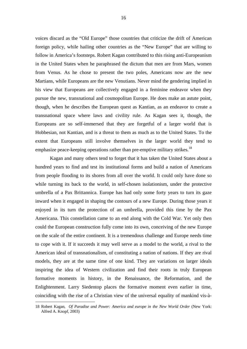voices discard as the "Old Europe" those countries that criticize the drift of American foreign policy, while hailing other countries as the "New Europe" that are willing to follow in America's footsteps. Robert Kagan contributed to this rising anti-Europeanism in the United States when he paraphrased the dictum that men are from Mars, women from Venus. As he chose to present the two poles, Americans now are the new Martians, while Europeans are the new Venutians. Never mind the gendering implied in his view that Europeans are collectively engaged in a feminine endeavor when they pursue the new, transnational and cosmopolitan Europe. He does make an astute point, though, when he describes the European quest as Kantian, as an endeavor to create a transnational space where laws and civility rule. As Kagan sees it, though, the Europeans are so self-immersed that they are forgetful of a larger world that is Hobbesian, not Kantian, and is a threat to them as much as to the United States. To the extent that Europeans still involve themselves in the larger world they tend to emphasize peace-keeping operations rather than pre-emptive military strikes.<sup>18</sup>

 Kagan and many others tend to forget that it has taken the United States about a hundred years to find and test its institutional forms and build a nation of Americans from people flooding to its shores from all over the world. It could only have done so while turning its back to the world, in self-chosen isolationism, under the protective umbrella of a Pax Brittannica. Europe has had only some forty years to turn its gaze inward when it engaged in shaping the contours of a new Europe. During those years it enjoyed in its turn the protection of an umbrella, provided this time by the Pax Americana. This constellation came to an end along with the Cold War. Yet only then could the European construction fully come into its own, conceiving of the new Europe on the scale of the entire continent. It is a tremendous challenge and Europe needs time to cope with it. If it succeeds it may well serve as a model to the world, a rival to the American ideal of transnationalism, of constituting a nation of nations. If they are rival models, they are at the same time of one kind. They are variations on larger ideals inspiring the idea of Western civilization and find their roots in truly European formative moments in history, in the Renaissance, the Reformation, and the Enlightenment. Larry Siedentop places the formative moment even earlier in time, coinciding with the rise of a Christian view of the universal equality of mankind vis-à-

<sup>18</sup> Robert Kagan, *Of Paradise and Power: America and europe in the New World Order* (New York: Alfred A. Knopf, 2003)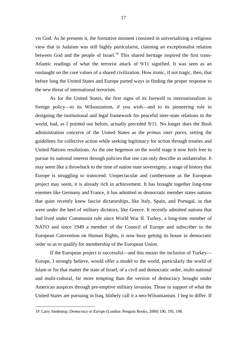vis God. As he presents it, the formative moment consisted in universalizing a religious view that in Judaism was still highly particularist, claiming an exceptionalist relation between God and the people of Israel.<sup>19</sup> This shared heritage inspired the first trans-Atlantic readings of what the terrorist attack of 9/11 signified. It was seen as an onslaught on the core values of a shared civilization. How ironic, if not tragic, then, that before long the United States and Europe parted ways in finding the proper response to the new threat of international terrorism.

As for the United States, the first signs of its farewell to internationalism in foreign policy—to its Wilsonianism, if you wish—and to its pioneering role in designing the institutional and legal framework for peaceful inter-state relations in the world, had, as I pointed out before, actually preceded 9/11. No longer does the Bush administration conceive of the United States as the *primus inter pares*, setting the guidelines for collective action while seeking legitimacy for action through treaties and United Nations resolutions. As the one hegemon on the world stage it now feels free to pursue its national interest through policies that one can only describe as unilateralist. It may seem like a throwback to the time of nation state sovereignty, a stage of history that Europe is struggling to transcend. Unspectacular and cumbersome as the European project may seem, it is already rich in achievement. It has brought together long-time enemies like Germany and France, it has admitted as democratic member states nations that quite recently knew fascist dictatorships, like Italy, Spain, and Portugal, or that were under the heel of military dictators, like Greece. It recently admitted nations that had lived under Communist rule since World War II. Turkey, a long-time member of NATO and since 1949 a member of the Council of Europe and subscriber to the European Convention on Human Rights, is now busy getting its house in democratic order so as to qualify for membership of the European Union.

If the European project is successful—and this means the inclusion of Turkey— Europe, I strongly believe, would offer a model to the world, particularly the world of Islam or for that matter the state of Israel, of a civil and democratic order, multi-national and multi-cultural, far more tempting than the version of democracy brought under American auspices through pre-emptive military invasion. Those in support of what the United States are pursuing in Iraq, blithely call it a neo-Wilsonianism. I beg to differ. If

<u>.</u>

<sup>19</sup> Larry Siedentop, *Democracy in Europe* (London: Penguin Books, 2000) 190, 195, 198.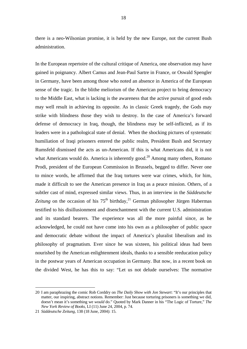there is a neo-Wilsonian promise, it is held by the new Europe, not the current Bush administration.

In the European repertoire of the cultural critique of America, one observation may have gained in poignancy. Albert Camus and Jean-Paul Sartre in France, or Oswald Spengler in Germany, have been among those who noted an absence in America of the European sense of the tragic. In the blithe meliorism of the American project to bring democracy to the Middle East, what is lacking is the awareness that the active pursuit of good ends may well result in achieving its opposite. As in classic Greek tragedy, the Gods may strike with blindness those they wish to destroy. In the case of America's forward defense of democracy in Iraq, though, the blindness may be self-inflicted, as if its leaders were in a pathological state of denial. When the shocking pictures of systematic humiliation of Iraqi prisoners entered the public realm, President Bush and Secretary Rumsfeld dismissed the acts as un-American. If this is what Americans did, it is not what Americans would do. America is inherently good.<sup>20</sup> Among many others, Romano Prodi, president of the European Commission in Brussels, begged to differ. Never one to mince words, he affirmed that the Iraq tortures were war crimes, which, for him, made it difficult to see the American presence in Iraq as a peace mission. Others, of a subtler cast of mind, expressed similar views. Thus, in an interview in the *Süddeutsche*  Zeitung on the occasion of his  $75<sup>th</sup>$  birthday,<sup>21</sup> German philosopher Jürgen Habermas testified to his disillusionment and disenchantment with the current U.S. administration and its standard bearers. The experience was all the more painful since, as he acknowledged, he could not have come into his own as a philosopher of public space and democratic debate without the impact of America's pluralist liberalism and its philosophy of pragmatism. Ever since he was sixteen, his political ideas had been nourished by the American enlightenment ideals, thanks to a sensible reeducation policy in the postwar years of American occupation in Germany. But now, in a recent book on the divided West, he has this to say: "Let us not delude ourselves: The normative

<sup>20</sup> I am paraphrazing the comic Rob Corddry on *The Daily Show with Jon Stewart*: "It's our principles that matter, our inspiring, abstract notions. Remember: Just because torturing prisoners is something we did, doesn't mean it's something we *would* do." Quoted by Mark Danner in his "The Logic of Torture," *The New York Review of Books*, LI (11) June 24, 2004, p. 74.

<sup>21</sup> *Süddeutsche Zeitung,* 138 (18 June, 2004): 15.